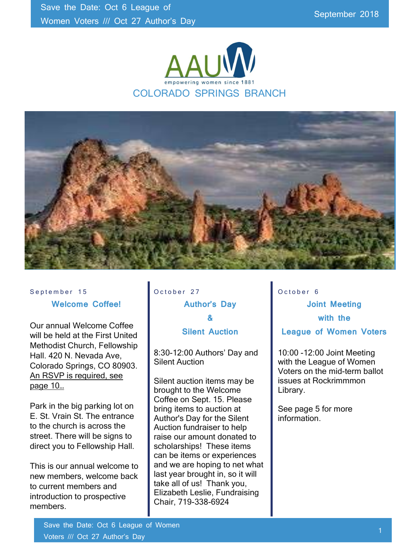



#### September 15 Welcome Coffee!

Our annual Welcome Coffee will be held at the First United Methodist Church, Fellowship Hall. 420 N. Nevada Ave, Colorado Springs, CO 80903. An RSVP is required, see page 10…

Park in the big parking lot on E. St. Vrain St. The entrance to the church is across the street. There will be signs to direct you to Fellowship Hall.

This is our annual welcome to new members, welcome back to current members and introduction to prospective members.

### October 27 Author's Day & Silent Auction

8:30-12:00 Authors' Day and Silent Auction

Silent auction items may be brought to the Welcome Coffee on Sept. 15. Please bring items to auction at Author's Day for the Silent Auction fundraiser to help raise our amount donated to scholarships! These items can be items or experiences and we are hoping to net what last year brought in, so it will take all of us! Thank you, Elizabeth Leslie, Fundraising Chair, 719-338-6924

October 6 Joint Meeting with the League of Women Voters

10:00 -12:00 Joint Meeting with the League of Women Voters on the mid-term ballot issues at Rockrimmmon Library.

See page 5 for more information.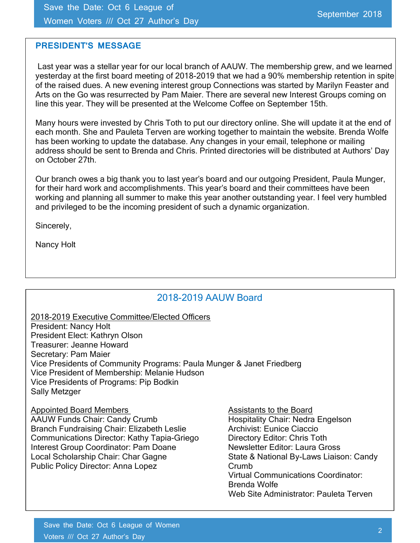Save the Date: Oct 6 League of Women Voters /// Oct 27 Author's Day

#### PRESIDENT'S MESSAGE

 Last year was a stellar year for our local branch of AAUW. The membership grew, and we learned yesterday at the first board meeting of 2018-2019 that we had a 90% membership retention in spite of the raised dues. A new evening interest group Connections was started by Marilyn Feaster and Arts on the Go was resurrected by Pam Maier. There are several new Interest Groups coming on line this year. They will be presented at the Welcome Coffee on September 15th.

Many hours were invested by Chris Toth to put our directory online. She will update it at the end of each month. She and Pauleta Terven are working together to maintain the website. Brenda Wolfe has been working to update the database. Any changes in your email, telephone or mailing address should be sent to Brenda and Chris. Printed directories will be distributed at Authors' Day on October 27th.

Our branch owes a big thank you to last year's board and our outgoing President, Paula Munger, for their hard work and accomplishments. This year's board and their committees have been working and planning all summer to make this year another outstanding year. I feel very humbled and privileged to be the incoming president of such a dynamic organization.

Sincerely,

Nancy Holt

#### 2018-2019 AAUW Board

2018-2019 Executive Committee/Elected Officers President: Nancy Holt President Elect: Kathryn Olson Treasurer: Jeanne Howard Secretary: Pam Maier Vice Presidents of Community Programs: Paula Munger & Janet Friedberg Vice President of Membership: Melanie Hudson Vice Presidents of Programs: Pip Bodkin Sally Metzger

#### Appointed Board Members Assistants to the Board

AAUW Funds Chair: Candy Crumb Hospitality Chair: Nedra Engelson Branch Fundraising Chair: Elizabeth Leslie **Archivist: Eunice Ciaccio**<br>Communications Director: Kathy Tapia-Griego **Directory Editor: Chris Toth** Communications Director: Kathy Tapia-Griego Interest Group Coordinator: Pam Doane Newsletter Editor: Laura Gross Local Scholarship Chair: Char Gagne State & National By-Laws Liaison: Candy Public Policy Director: Anna Lopez Crumb

Virtual Communications Coordinator: Brenda Wolfe Web Site Administrator: Pauleta Terven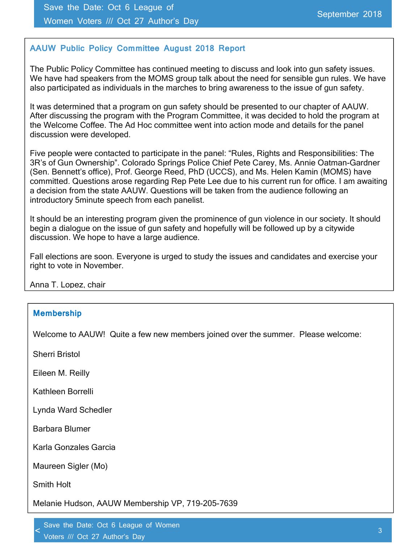#### AAUW Public Policy Committee August 2018 Report

The Public Policy Committee has continued meeting to discuss and look into gun safety issues. We have had speakers from the MOMS group talk about the need for sensible gun rules. We have also participated as individuals in the marches to bring awareness to the issue of gun safety.

It was determined that a program on gun safety should be presented to our chapter of AAUW. After discussing the program with the Program Committee, it was decided to hold the program at the Welcome Coffee. The Ad Hoc committee went into action mode and details for the panel discussion were developed.

Five people were contacted to participate in the panel: "Rules, Rights and Responsibilities: The 3R's of Gun Ownership". Colorado Springs Police Chief Pete Carey, Ms. Annie Oatman-Gardner (Sen. Bennett's office), Prof. George Reed, PhD (UCCS), and Ms. Helen Kamin (MOMS) have committed. Questions arose regarding Rep Pete Lee due to his current run for office. I am awaiting a decision from the state AAUW. Questions will be taken from the audience following an introductory 5minute speech from each panelist.

It should be an interesting program given the prominence of gun violence in our society. It should begin a dialogue on the issue of gun safety and hopefully will be followed up by a citywide discussion. We hope to have a large audience.

Fall elections are soon. Everyone is urged to study the issues and candidates and exercise your right to vote in November.

Anna T. Lopez, chair

#### Membership

Welcome to AAUW! Quite a few new members joined over the summer. Please welcome:

Sherri Bristol

Eileen M. Reilly

Kathleen Borrelli

Lynda Ward Schedler

Barbara Blumer

Karla Gonzales Garcia

Maureen Sigler (Mo)

Smith Holt

 $\overline{a}$ 

Melanie Hudson, AAUW Membership VP, 719-205-7639

Save the Date: Oct 6 League of Women

voters *included* and the compact of the compact of the compact of the compact of the compact of the compact of the compact of the compact of the compact of the compact of the compact of the compact of the compact of the c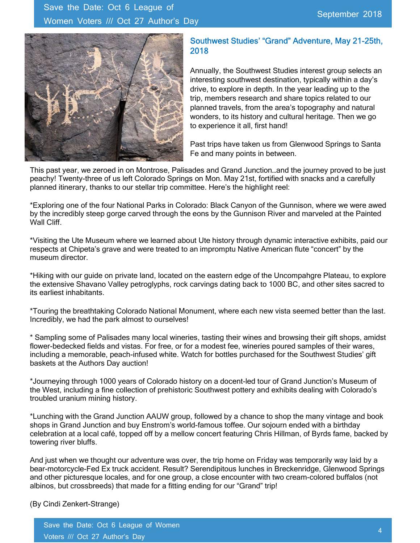

#### Southwest Studies' "Grand" Adventure, May 21-25th, 2018

Annually, the Southwest Studies interest group selects an interesting southwest destination, typically within a day's drive, to explore in depth. In the year leading up to the trip, members research and share topics related to our planned travels, from the area's topography and natural wonders, to its history and cultural heritage. Then we go to experience it all, first hand!

Past trips have taken us from Glenwood Springs to Santa Fe and many points in between.

This past year, we zeroed in on Montrose, Palisades and Grand Junction…and the journey proved to be just peachy! Twenty-three of us left Colorado Springs on Mon. May 21st, fortified with snacks and a carefully planned itinerary, thanks to our stellar trip committee. Here's the highlight reel:

\*Exploring one of the four National Parks in Colorado: Black Canyon of the Gunnison, where we were awed by the incredibly steep gorge carved through the eons by the Gunnison River and marveled at the Painted Wall Cliff.

\*Visiting the Ute Museum where we learned about Ute history through dynamic interactive exhibits, paid our respects at Chipeta's grave and were treated to an impromptu Native American flute "concert" by the museum director.

\*Hiking with our guide on private land, located on the eastern edge of the Uncompahgre Plateau, to explore the extensive Shavano Valley petroglyphs, rock carvings dating back to 1000 BC, and other sites sacred to its earliest inhabitants.

\*Touring the breathtaking Colorado National Monument, where each new vista seemed better than the last. Incredibly, we had the park almost to ourselves!

\* Sampling some of Palisades many local wineries, tasting their wines and browsing their gift shops, amidst flower-bedecked fields and vistas. For free, or for a modest fee, wineries poured samples of their wares, including a memorable, peach-infused white. Watch for bottles purchased for the Southwest Studies' gift baskets at the Authors Day auction!

\*Journeying through 1000 years of Colorado history on a docent-led tour of Grand Junction's Museum of the West, including a fine collection of prehistoric Southwest pottery and exhibits dealing with Colorado's troubled uranium mining history.

\*Lunching with the Grand Junction AAUW group, followed by a chance to shop the many vintage and book shops in Grand Junction and buy Enstrom's world-famous toffee. Our sojourn ended with a birthday celebration at a local café, topped off by a mellow concert featuring Chris Hillman, of Byrds fame, backed by towering river bluffs.

And just when we thought our adventure was over, the trip home on Friday was temporarily way laid by a bear-motorcycle-Fed Ex truck accident. Result? Serendipitous lunches in Breckenridge, Glenwood Springs and other picturesque locales, and for one group, a close encounter with two cream-colored buffalos (not albinos, but crossbreeds) that made for a fitting ending for our "Grand" trip!

(By Cindi Zenkert-Strange)

Save the Date: Oct 6 League of Women Voters /// Oct 27 Author's Day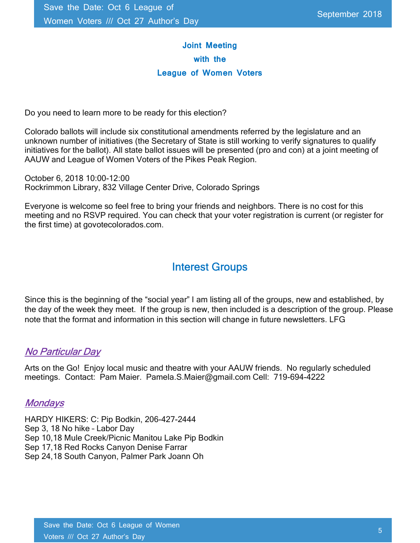### Joint Meeting with the League of Women Voters

Do you need to learn more to be ready for this election?

Colorado ballots will include six constitutional amendments referred by the legislature and an unknown number of initiatives (the Secretary of State is still working to verify signatures to qualify initiatives for the ballot). All state ballot issues will be presented (pro and con) at a joint meeting of AAUW and League of Women Voters of the Pikes Peak Region.

October 6, 2018 10:00-12:00 Rockrimmon Library, 832 Village Center Drive, Colorado Springs

Everyone is welcome so feel free to bring your friends and neighbors. There is no cost for this meeting and no RSVP required. You can check that your voter registration is current (or register for the first time) at govotecolorados.com.

### Interest Groups

Since this is the beginning of the "social year" I am listing all of the groups, new and established, by the day of the week they meet. If the group is new, then included is a description of the group. Please note that the format and information in this section will change in future newsletters. LFG

#### No Particular Day

Arts on the Go! Enjoy local music and theatre with your AAUW friends. No regularly scheduled meetings. Contact: Pam Maier. Pamela.S.Maier@gmail.com Cell: 719-694-4222

#### **Mondays**

HARDY HIKERS: C: Pip Bodkin, 206-427-2444 Sep 3, 18 No hike – Labor Day Sep 10,18 Mule Creek/Picnic Manitou Lake Pip Bodkin Sep 17,18 Red Rocks Canyon Denise Farrar Sep 24,18 South Canyon, Palmer Park Joann Oh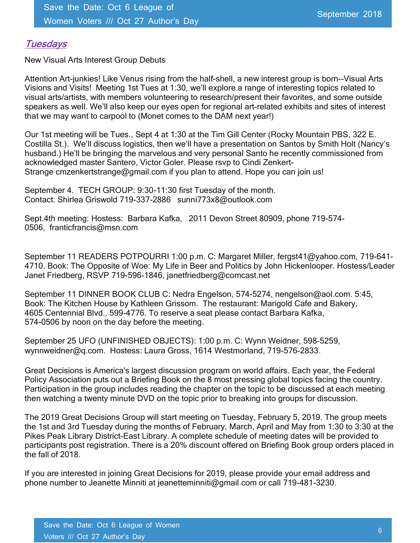#### **Tuesdays**

New Visual Arts Interest Group Debuts

Attention Art-junkies! Like Venus rising from the half-shell, a new interest group is born--Visual Arts Visions and Visits! Meeting 1st Tues at 1:30, we'll explore a range of interesting topics related to visual arts/artists, with members volunteering to research/present their favorites, and some outside speakers as well. We'll also keep our eyes open for regional art-related exhibits and sites of interest that we may want to carpool to (Monet comes to the DAM next year!)

Our 1st meeting will be Tues., Sept 4 at 1:30 at the Tim Gill Center (Rocky Mountain PBS, 322 E. Costilla St.). We'll discuss logistics, then we'll have a presentation on Santos by Smith Holt (Nancy's husband.) He'll be bringing the marvelous and very personal Santo he recently commissioned from acknowledged master Santero, Victor Goler. Please rsvp to Cindi Zenkert-Strange cmzenkertstrange@gmail.com if you plan to attend. Hope you can join us!

September 4. TECH GROUP: 9:30-11:30 first Tuesday of the month. Contact: Shirlea Griswold 719-337-2886 sunni773x8@outlook.com

Sept.4th meeting: Hostess: Barbara Kafka, 2011 Devon Street 80909, phone 719-574- 0506, franticfrancis@msn.com

September 11 READERS POTPOURRI 1:00 p.m. C: Margaret Miller, fergst41@yahoo.com, 719-641- 4710. Book: The Opposite of Woe: My Life in Beer and Politics by John Hickenlooper. Hostess/Leader Janet Friedberg, RSVP 719-596-1846, janetfriedberg@comcast.net

September 11 DINNER BOOK CLUB C: Nedra Engelson, 574-5274, nengelson@aol.com. 5:45, Book: The Kitchen House by Kathleen Grissom. The restaurant: Marigold Cafe and Bakery, 4605 Centennial Blvd., 599-4776. To reserve a seat please contact Barbara Kafka, 574-0506 by noon on the day before the meeting.

September 25 UFO (UNFINISHED OBJECTS): 1:00 p.m. C: Wynn Weidner, 598-5259, wynnweidner@q.com. Hostess: Laura Gross, 1614 Westmorland, 719-576-2833.

Great Decisions is America's largest discussion program on world affairs. Each year, the Federal Policy Association puts out a Briefing Book on the 8 most pressing global topics facing the country. Participation in the group includes reading the chapter on the topic to be discussed at each meeting then watching a twenty minute DVD on the topic prior to breaking into groups for discussion.

The 2019 Great Decisions Group will start meeting on Tuesday, February 5, 2019. The group meets the 1st and 3rd Tuesday during the months of February, March, April and May from 1:30 to 3:30 at the Pikes Peak Library District-East Library. A complete schedule of meeting dates will be provided to participants post registration. There is a 20% discount offered on Briefing Book group orders placed in the fall of 2018.

If you are interested in joining Great Decisions for 2019, please provide your email address and phone number to Jeanette Minniti at jeanetteminniti@gmail.com or call 719-481-3230.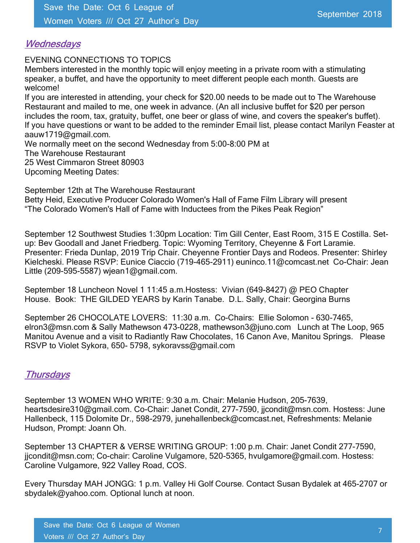#### **Wednesdays**

EVENING CONNECTIONS TO TOPICS

Members interested in the monthly topic will enjoy meeting in a private room with a stimulating speaker, a buffet, and have the opportunity to meet different people each month. Guests are welcome!

If you are interested in attending, your check for \$20.00 needs to be made out to The Warehouse Restaurant and mailed to me, one week in advance. (An all inclusive buffet for \$20 per person includes the room, tax, gratuity, buffet, one beer or glass of wine, and covers the speaker's buffet). If you have questions or want to be added to the reminder Email list, please contact Marilyn Feaster at aauw1719@gmail.com.

We normally meet on the second Wednesday from 5:00-8:00 PM at The Warehouse Restaurant 25 West Cimmaron Street 80903 Upcoming Meeting Dates:

September 12th at The Warehouse Restaurant Betty Heid, Executive Producer Colorado Women's Hall of Fame Film Library will present "The Colorado Women's Hall of Fame with Inductees from the Pikes Peak Region"

September 12 Southwest Studies 1:30pm Location: Tim Gill Center, East Room, 315 E Costilla. Setup: Bev Goodall and Janet Friedberg. Topic: Wyoming Territory, Cheyenne & Fort Laramie. Presenter: Frieda Dunlap, 2019 Trip Chair. Cheyenne Frontier Days and Rodeos. Presenter: Shirley Kielcheski. Please RSVP: Eunice Ciaccio (719-465-2911) euninco.11@comcast.net Co-Chair: Jean Little (209-595-5587) wjean1@gmail.com.

September 18 Luncheon Novel 1 11:45 a.m.Hostess: Vivian (649-8427) @ PEO Chapter House. Book: THE GILDED YEARS by Karin Tanabe. D.L. Sally, Chair: Georgina Burns

September 26 CHOCOLATE LOVERS: 11:30 a.m. Co-Chairs: Ellie Solomon - 630-7465, elron3@msn.com & Sally Mathewson 473-0228, mathewson3@juno.com Lunch at The Loop, 965 Manitou Avenue and a visit to Radiantly Raw Chocolates, 16 Canon Ave, Manitou Springs. Please RSVP to Violet Sykora, 650- 5798, sykoravss@gmail.com

#### **Thursdays**

September 13 WOMEN WHO WRITE: 9:30 a.m. Chair: Melanie Hudson, 205-7639, heartsdesire310@gmail.com. Co-Chair: Janet Condit, 277-7590, jjcondit@msn.com. Hostess: June Hallenbeck, 115 Dolomite Dr., 598-2979, junehallenbeck@comcast.net, Refreshments: Melanie Hudson, Prompt: Joann Oh.

September 13 CHAPTER & VERSE WRITING GROUP: 1:00 p.m. Chair: Janet Condit 277-7590, jjcondit@msn.com; Co-chair: Caroline Vulgamore, 520-5365, hvulgamore@gmail.com. Hostess: Caroline Vulgamore, 922 Valley Road, COS.

Every Thursday MAH JONGG: 1 p.m. Valley Hi Golf Course. Contact Susan Bydalek at 465-2707 or sbydalek@yahoo.com. Optional lunch at noon.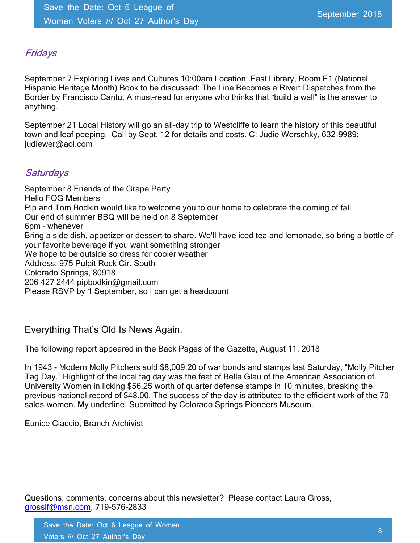#### Fridays

September 7 Exploring Lives and Cultures 10:00am Location: East Library, Room E1 (National Hispanic Heritage Month) Book to be discussed: The Line Becomes a River: Dispatches from the Border by Francisco Cantu. A must-read for anyone who thinks that "build a wall" is the answer to anything.

September 21 Local History will go an all-day trip to Westcliffe to learn the history of this beautiful town and leaf peeping. Call by Sept. 12 for details and costs. C: Judie Werschky, 632-9989; judiewer@aol.com

#### **Saturdays**

September 8 Friends of the Grape Party Hello FOG Members Pip and Tom Bodkin would like to welcome you to our home to celebrate the coming of fall Our end of summer BBQ will be held on 8 September 6pm – whenever Bring a side dish, appetizer or dessert to share. We'll have iced tea and lemonade, so bring a bottle of your favorite beverage if you want something stronger We hope to be outside so dress for cooler weather Address: 975 Pulpit Rock Cir. South Colorado Springs, 80918 206 427 2444 pipbodkin@gmail.com Please RSVP by 1 September, so I can get a headcount

#### Everything That's Old Is News Again.

The following report appeared in the Back Pages of the Gazette, August 11, 2018

In 1943 - Modern Molly Pitchers sold \$8,009.20 of war bonds and stamps last Saturday, "Molly Pitcher Tag Day." Highlight of the local tag day was the feat of Bella Glau of the American Association of University Women in licking \$56.25 worth of quarter defense stamps in 10 minutes, breaking the previous national record of \$48.00. The success of the day is attributed to the efficient work of the 70 sales-women. My underline. Submitted by Colorado Springs Pioneers Museum.

Eunice Ciaccio, Branch Archivist

Questions, comments, concerns about this newsletter? Please contact Laura Gross, grosslf@msn.com, 719-576-2833

Save the Date: Oct 6 League of Women Voters /// Oct 27 Author's Day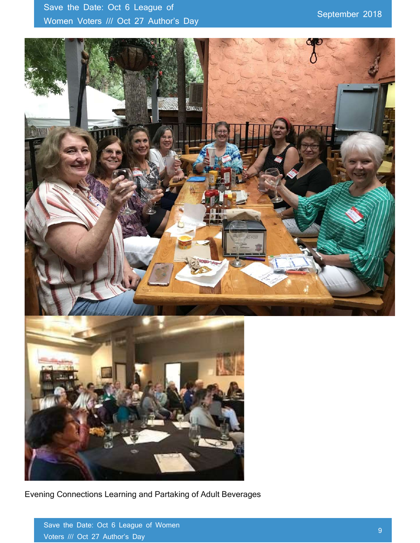## Save the Date: Oct 6 League of Women Voters /// Oct 27 Author's Day



Evening Connections Learning and Partaking of Adult Beverages

Save the Date: Oct 6 League of Women Voters /// Oct 27 Author's Day